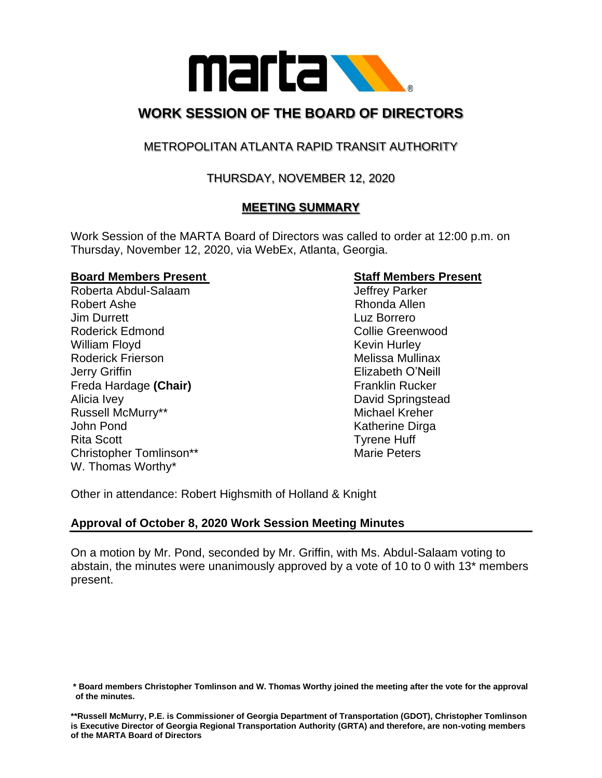

# **WORK SESSION OF THE BOARD OF DIRECTORS**

## METROPOLITAN ATLANTA RAPID TRANSIT AUTHORITY

## THURSDAY, NOVEMBER 12, 2020

## **MEETING SUMMARY**

Work Session of the MARTA Board of Directors was called to order at 12:00 p.m. on Thursday, November 12, 2020, via WebEx, Atlanta, Georgia.

#### **Board Members Present Staff Members Present**

Roberta Abdul-Salaam Jeffrey Parker Robert Ashe **Rhonda Allen** Jim Durrett Luz Borrero Roderick Edmond **Collie Greenwood Collie Greenwood** William Floyd **Kevin Hurley** Kevin Hurley Roderick Frierson **Melissa Mullinax** Melissa Mullinax Jerry Griffin Elizabeth O'Neill Freda Hardage (Chair) **Franklin Rucker** Franklin Rucker Alicia Ivey **David Springstead** Russell McMurry\*\* The Communication of the Michael Kreher John Pond **Katherine** Dirga Rita Scott **Tyrene Huff** Christopher Tomlinson\*\* Marie Peters W. Thomas Worthy\*

Other in attendance: Robert Highsmith of Holland & Knight

## **Approval of October 8, 2020 Work Session Meeting Minutes**

On a motion by Mr. Pond, seconded by Mr. Griffin, with Ms. Abdul-Salaam voting to abstain, the minutes were unanimously approved by a vote of 10 to 0 with 13\* members present.

**<sup>\*</sup> Board members Christopher Tomlinson and W. Thomas Worthy joined the meeting after the vote for the approval of the minutes.**